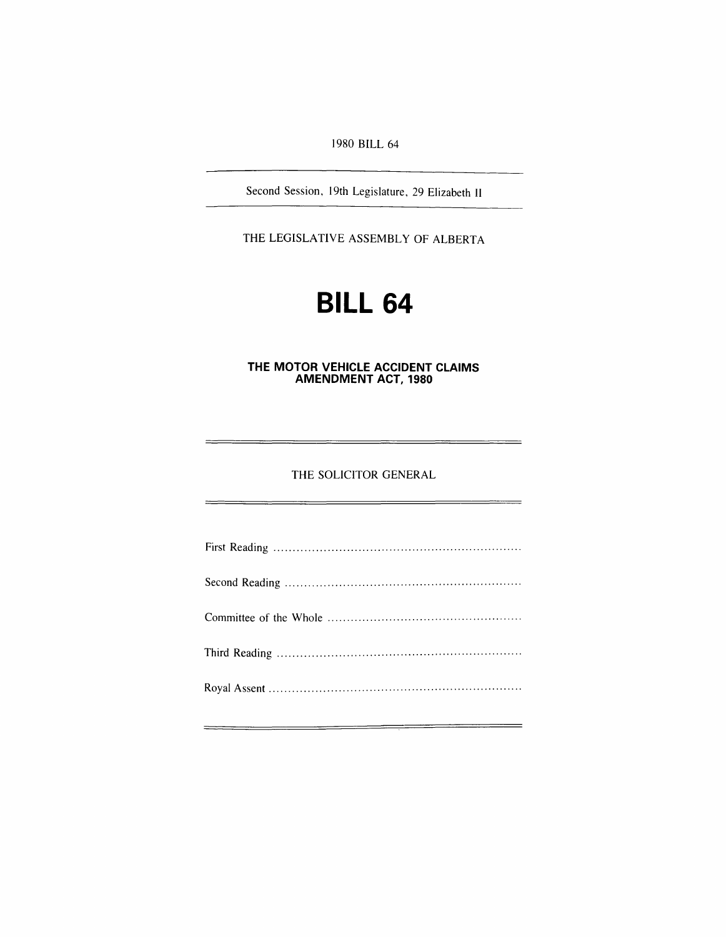1980 BILL 64

Second Session, 19th Legislature, 29 Elizabeth 11

THE LEGISLATIVE ASSEMBLY OF ALBERTA

# **BILL 64**

**THE MOTOR VEHICLE ACCIDENT CLAIMS AMENDMENT ACT, 1980** 

THE SOLICITOR GENERAL

 $=$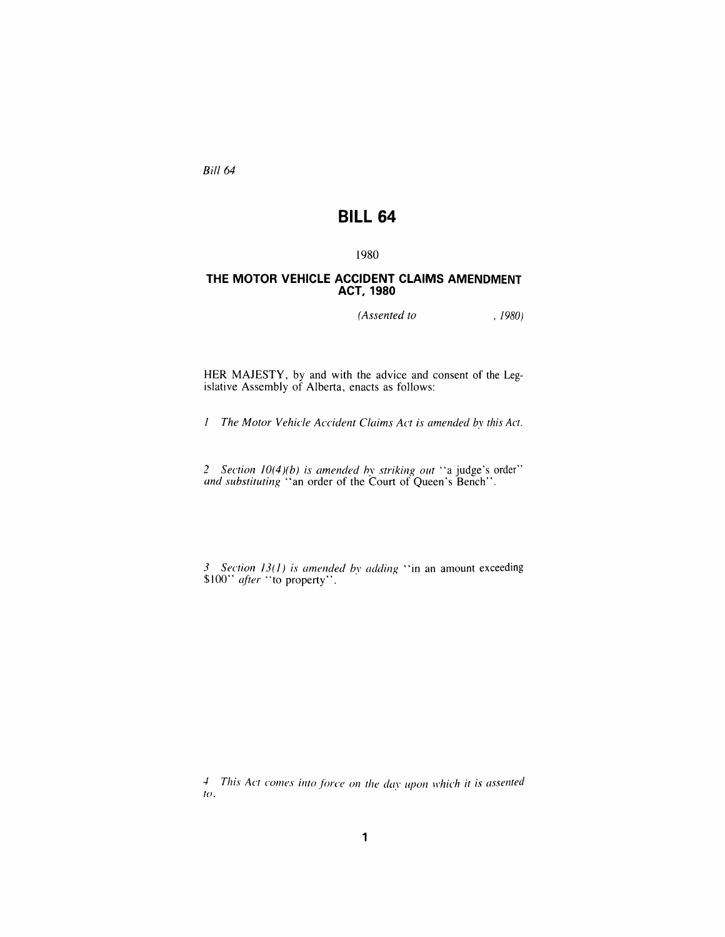*Bill 64* 

# **BILL 64**

## 1980

### **THE MOTOR VEHICLE ACCIDENT CLAIMS AMENDMENT ACT,1980**

*(Assented to . 1980)* 

HER MAJESTY, by and with the advice and consent of the Legislative Assembly of Alberta, enacts as follows:

*The Motor Vehicle Accident Claims Act is amended by this Act.* 

*2 Section 10(4)(b) is amended hy striking out* "a judge's order" *and substituting* "an order of the Court of Queen's Bench".

*3 Section* 13( 1) *is amended by adding* "in an amount exceeding *\$100" qfter* "to property".

4 This Act comes into force on the day upon which it is assented *to.*